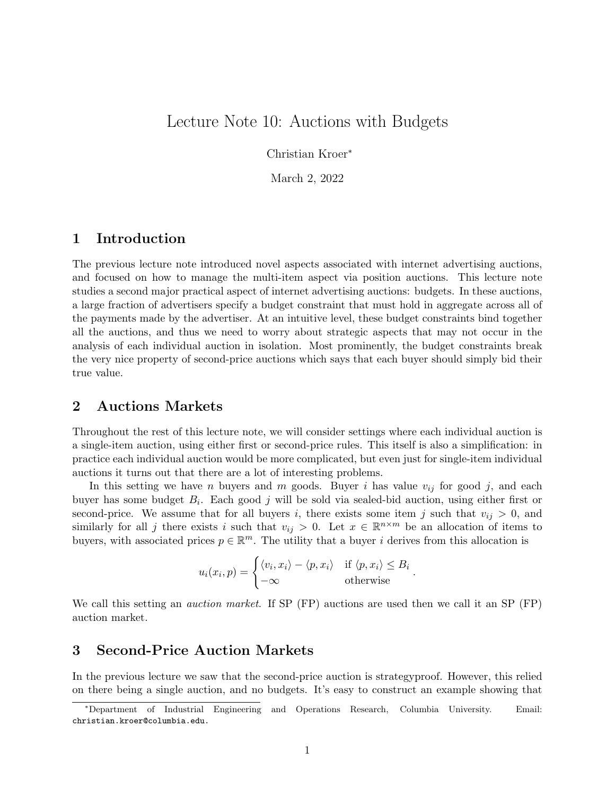# Lecture Note 10: Auctions with Budgets

Christian Kroer<sup>∗</sup>

March 2, 2022

### 1 Introduction

The previous lecture note introduced novel aspects associated with internet advertising auctions, and focused on how to manage the multi-item aspect via position auctions. This lecture note studies a second major practical aspect of internet advertising auctions: budgets. In these auctions, a large fraction of advertisers specify a budget constraint that must hold in aggregate across all of the payments made by the advertiser. At an intuitive level, these budget constraints bind together all the auctions, and thus we need to worry about strategic aspects that may not occur in the analysis of each individual auction in isolation. Most prominently, the budget constraints break the very nice property of second-price auctions which says that each buyer should simply bid their true value.

### 2 Auctions Markets

Throughout the rest of this lecture note, we will consider settings where each individual auction is a single-item auction, using either first or second-price rules. This itself is also a simplification: in practice each individual auction would be more complicated, but even just for single-item individual auctions it turns out that there are a lot of interesting problems.

In this setting we have n buyers and m goods. Buyer i has value  $v_{ij}$  for good j, and each buyer has some budget  $B_i$ . Each good j will be sold via sealed-bid auction, using either first or second-price. We assume that for all buyers i, there exists some item j such that  $v_{ij} > 0$ , and similarly for all j there exists i such that  $v_{ij} > 0$ . Let  $x \in \mathbb{R}^{n \times m}$  be an allocation of items to buyers, with associated prices  $p \in \mathbb{R}^m$ . The utility that a buyer i derives from this allocation is

$$
u_i(x_i, p) = \begin{cases} \langle v_i, x_i \rangle - \langle p, x_i \rangle & \text{if } \langle p, x_i \rangle \leq B_i \\ -\infty & \text{otherwise} \end{cases}.
$$

We call this setting an *auction market*. If SP (FP) auctions are used then we call it an SP (FP) auction market.

### 3 Second-Price Auction Markets

In the previous lecture we saw that the second-price auction is strategyproof. However, this relied on there being a single auction, and no budgets. It's easy to construct an example showing that

<sup>∗</sup>Department of Industrial Engineering and Operations Research, Columbia University. Email: christian.kroer@columbia.edu.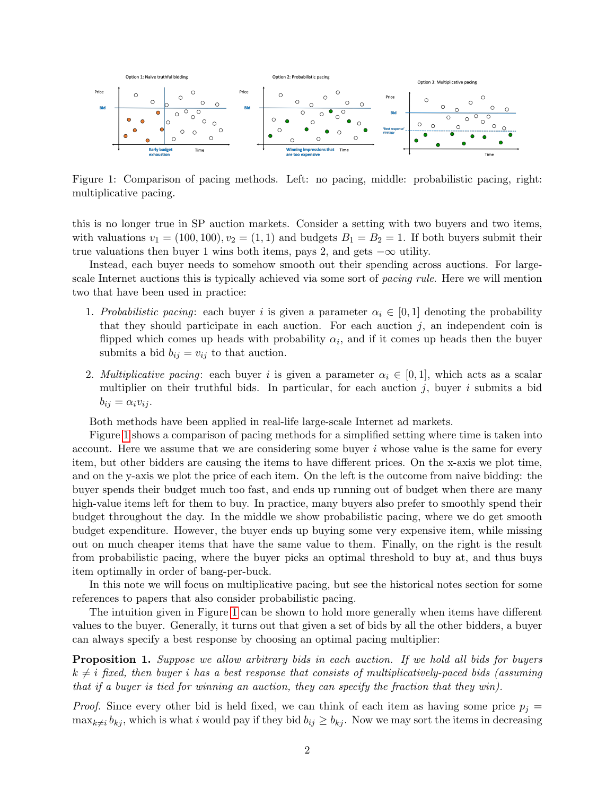

<span id="page-1-0"></span>Figure 1: Comparison of pacing methods. Left: no pacing, middle: probabilistic pacing, right: multiplicative pacing.

this is no longer true in SP auction markets. Consider a setting with two buyers and two items, with valuations  $v_1 = (100, 100), v_2 = (1, 1)$  and budgets  $B_1 = B_2 = 1$ . If both buyers submit their true valuations then buyer 1 wins both items, pays 2, and gets  $-\infty$  utility.

Instead, each buyer needs to somehow smooth out their spending across auctions. For largescale Internet auctions this is typically achieved via some sort of *pacing rule*. Here we will mention two that have been used in practice:

- 1. Probabilistic pacing: each buyer i is given a parameter  $\alpha_i \in [0,1]$  denoting the probability that they should participate in each auction. For each auction  $j$ , an independent coin is flipped which comes up heads with probability  $\alpha_i$ , and if it comes up heads then the buyer submits a bid  $b_{ij} = v_{ij}$  to that auction.
- 2. Multiplicative pacing: each buyer i is given a parameter  $\alpha_i \in [0,1]$ , which acts as a scalar multiplier on their truthful bids. In particular, for each auction  $j$ , buyer i submits a bid  $b_{ij} = \alpha_i v_{ij}.$

Both methods have been applied in real-life large-scale Internet ad markets.

Figure [1](#page-1-0) shows a comparison of pacing methods for a simplified setting where time is taken into account. Here we assume that we are considering some buyer  $i$  whose value is the same for every item, but other bidders are causing the items to have different prices. On the x-axis we plot time, and on the y-axis we plot the price of each item. On the left is the outcome from naive bidding: the buyer spends their budget much too fast, and ends up running out of budget when there are many high-value items left for them to buy. In practice, many buyers also prefer to smoothly spend their budget throughout the day. In the middle we show probabilistic pacing, where we do get smooth budget expenditure. However, the buyer ends up buying some very expensive item, while missing out on much cheaper items that have the same value to them. Finally, on the right is the result from probabilistic pacing, where the buyer picks an optimal threshold to buy at, and thus buys item optimally in order of bang-per-buck.

In this note we will focus on multiplicative pacing, but see the historical notes section for some references to papers that also consider probabilistic pacing.

The intuition given in Figure [1](#page-1-0) can be shown to hold more generally when items have different values to the buyer. Generally, it turns out that given a set of bids by all the other bidders, a buyer can always specify a best response by choosing an optimal pacing multiplier:

<span id="page-1-1"></span>Proposition 1. Suppose we allow arbitrary bids in each auction. If we hold all bids for buyers  $k \neq i$  fixed, then buyer i has a best response that consists of multiplicatively-paced bids (assuming that if a buyer is tied for winning an auction, they can specify the fraction that they win).

*Proof.* Since every other bid is held fixed, we can think of each item as having some price  $p_i =$  $\max_{k\neq i} b_{kj}$ , which is what i would pay if they bid  $b_{ij} \geq b_{kj}$ . Now we may sort the items in decreasing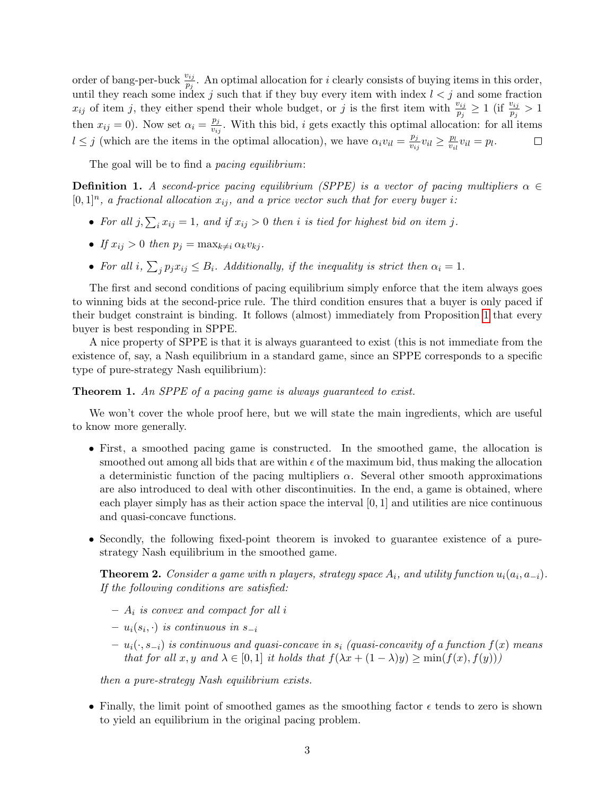order of bang-per-buck  $\frac{v_{ij}}{p_j}$ . An optimal allocation for *i* clearly consists of buying items in this order, until they reach some index j such that if they buy every item with index  $l < j$  and some fraction  $x_{ij}$  of item j, they either spend their whole budget, or j is the first item with  $\frac{v_{ij}}{p_j} \ge 1$  (if  $\frac{v_{ij}}{p_j} > 1$ ) then  $x_{ij} = 0$ ). Now set  $\alpha_i = \frac{p_j}{y_{ii}}$  $\frac{p_j}{v_{ij}}$ . With this bid, *i* gets exactly this optimal allocation: for all items  $l \leq j$  (which are the items in the optimal allocation), we have  $\alpha_i v_{il} = \frac{p_j}{v_{il}}$  $\frac{p_j}{v_{ij}}v_{il} \geq \frac{p_l}{v_{il}}$  $\frac{p_l}{v_{il}}v_{il}=p_l.$  $\Box$ 

The goal will be to find a *pacing equilibrium*:

**Definition 1.** A second-price pacing equilibrium (SPPE) is a vector of pacing multipliers  $\alpha \in$  $[0,1]^n$ , a fractional allocation  $x_{ij}$ , and a price vector such that for every buyer i:

- For all  $j, \sum_i x_{ij} = 1$ , and if  $x_{ij} > 0$  then i is tied for highest bid on item j.
- If  $x_{ij} > 0$  then  $p_j = \max_{k \neq i} \alpha_k v_{kj}$ .
- For all i,  $\sum_j p_j x_{ij} \leq B_i$ . Additionally, if the inequality is strict then  $\alpha_i = 1$ .

The first and second conditions of pacing equilibrium simply enforce that the item always goes to winning bids at the second-price rule. The third condition ensures that a buyer is only paced if their budget constraint is binding. It follows (almost) immediately from Proposition [1](#page-1-1) that every buyer is best responding in SPPE.

A nice property of SPPE is that it is always guaranteed to exist (this is not immediate from the existence of, say, a Nash equilibrium in a standard game, since an SPPE corresponds to a specific type of pure-strategy Nash equilibrium):

Theorem 1. An SPPE of a pacing game is always guaranteed to exist.

We won't cover the whole proof here, but we will state the main ingredients, which are useful to know more generally.

- First, a smoothed pacing game is constructed. In the smoothed game, the allocation is smoothed out among all bids that are within  $\epsilon$  of the maximum bid, thus making the allocation a deterministic function of the pacing multipliers  $\alpha$ . Several other smooth approximations are also introduced to deal with other discontinuities. In the end, a game is obtained, where each player simply has as their action space the interval  $[0, 1]$  and utilities are nice continuous and quasi-concave functions.
- Secondly, the following fixed-point theorem is invoked to guarantee existence of a purestrategy Nash equilibrium in the smoothed game.

**Theorem 2.** Consider a game with n players, strategy space  $A_i$ , and utility function  $u_i(a_i, a_{-i})$ . If the following conditions are satisfied:

- $A_i$  is convex and compact for all i
- $u_i(s_i, \cdot)$  is continuous in  $s_{-i}$
- $u_i(\cdot, s_{-i})$  is continuous and quasi-concave in  $s_i$  (quasi-concavity of a function  $f(x)$  means that for all x, y and  $\lambda \in [0,1]$  it holds that  $f(\lambda x + (1 - \lambda)y) \ge \min(f(x), f(y)))$

then a pure-strategy Nash equilibrium exists.

• Finally, the limit point of smoothed games as the smoothing factor  $\epsilon$  tends to zero is shown to yield an equilibrium in the original pacing problem.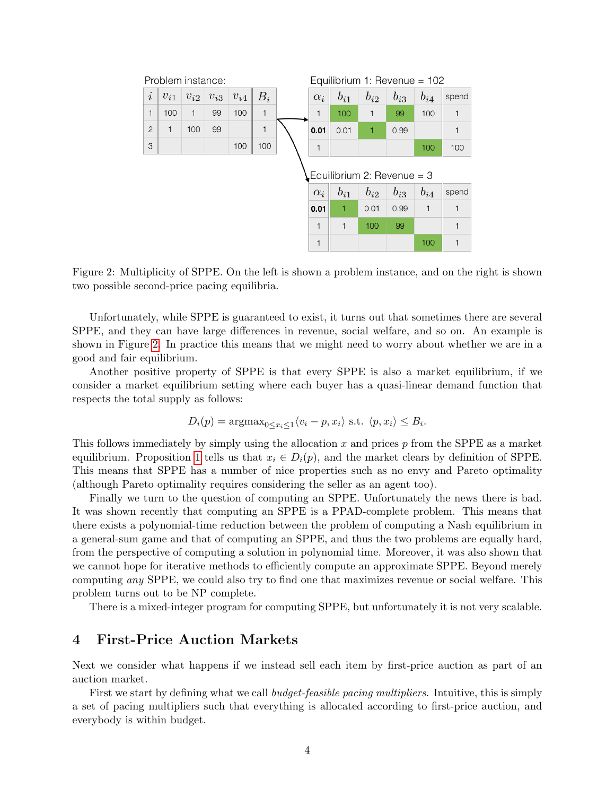| Problem instance:          |              |          |          |          |       |  | Equilibrium 1: Revenue = $102$ |          |          |          |          |              |
|----------------------------|--------------|----------|----------|----------|-------|--|--------------------------------|----------|----------|----------|----------|--------------|
| $\dot{\imath}$             | $v_{i1}$     | $v_{i2}$ | $v_{i3}$ | $v_{i4}$ | $B_i$ |  | $\alpha_i$                     | $b_{i1}$ | $b_{i2}$ | $b_{i3}$ | $b_{i4}$ | spend        |
| 1                          | 100          | 1        | 99       | 100      | 1     |  | 1                              | 100      | 1        | 99       | 100      | 1            |
| $\overline{2}$             | $\mathbf{1}$ | 100      | 99       |          | 1     |  | 0.01                           | 0.01     | 1        | 0.99     |          | 1            |
| 3                          |              |          |          | 100      | 100   |  | 1                              |          |          |          | 100      | 100          |
| Equilibrium 2: Revenue = 3 |              |          |          |          |       |  |                                |          |          |          |          |              |
|                            |              |          |          |          |       |  | $\alpha_i$                     | $b_{i1}$ | $b_{i2}$ | $b_{i3}$ | $b_{i4}$ | spend        |
|                            |              |          |          |          |       |  | 0.01                           | 1        | 0.01     | 0.99     |          | 1            |
|                            |              |          |          |          |       |  | 1                              | 1        | 100      | 99       |          |              |
|                            |              |          |          |          |       |  | 1                              |          |          |          | 100      | $\mathbf{1}$ |

<span id="page-3-0"></span>Figure 2: Multiplicity of SPPE. On the left is shown a problem instance, and on the right is shown two possible second-price pacing equilibria.

Unfortunately, while SPPE is guaranteed to exist, it turns out that sometimes there are several SPPE, and they can have large differences in revenue, social welfare, and so on. An example is shown in Figure [2.](#page-3-0) In practice this means that we might need to worry about whether we are in a good and fair equilibrium.

Another positive property of SPPE is that every SPPE is also a market equilibrium, if we consider a market equilibrium setting where each buyer has a quasi-linear demand function that respects the total supply as follows:

$$
D_i(p) = \operatorname{argmax}_{0 \le x_i \le 1} \langle v_i - p, x_i \rangle \text{ s.t. } \langle p, x_i \rangle \le B_i.
$$

This follows immediately by simply using the allocation x and prices  $p$  from the SPPE as a market equilibrium. Proposition [1](#page-1-1) tells us that  $x_i \in D_i(p)$ , and the market clears by definition of SPPE. This means that SPPE has a number of nice properties such as no envy and Pareto optimality (although Pareto optimality requires considering the seller as an agent too).

Finally we turn to the question of computing an SPPE. Unfortunately the news there is bad. It was shown recently that computing an SPPE is a PPAD-complete problem. This means that there exists a polynomial-time reduction between the problem of computing a Nash equilibrium in a general-sum game and that of computing an SPPE, and thus the two problems are equally hard, from the perspective of computing a solution in polynomial time. Moreover, it was also shown that we cannot hope for iterative methods to efficiently compute an approximate SPPE. Beyond merely computing any SPPE, we could also try to find one that maximizes revenue or social welfare. This problem turns out to be NP complete.

There is a mixed-integer program for computing SPPE, but unfortunately it is not very scalable.

### 4 First-Price Auction Markets

Next we consider what happens if we instead sell each item by first-price auction as part of an auction market.

First we start by defining what we call *budget-feasible pacing multipliers*. Intuitive, this is simply a set of pacing multipliers such that everything is allocated according to first-price auction, and everybody is within budget.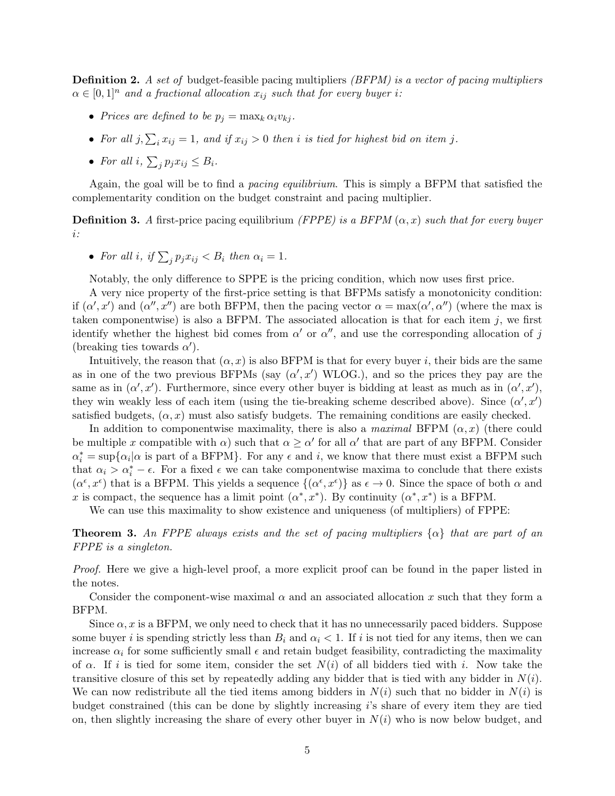**Definition 2.** A set of budget-feasible pacing multipliers  $(BFPM)$  is a vector of pacing multipliers  $\alpha \in [0,1]^n$  and a fractional allocation  $x_{ij}$  such that for every buyer i:

- Prices are defined to be  $p_j = \max_k \alpha_i v_{kj}$ .
- For all  $j, \sum_i x_{ij} = 1$ , and if  $x_{ij} > 0$  then i is tied for highest bid on item j.
- For all  $i, \sum_j p_j x_{ij} \leq B_i$ .

Again, the goal will be to find a pacing equilibrium. This is simply a BFPM that satisfied the complementarity condition on the budget constraint and pacing multiplier.

**Definition 3.** A first-price pacing equilibrium (FPPE) is a BFPM  $(\alpha, x)$  such that for every buyer i:

• For all i, if  $\sum_j p_j x_{ij} < B_i$  then  $\alpha_i = 1$ .

Notably, the only difference to SPPE is the pricing condition, which now uses first price.

A very nice property of the first-price setting is that BFPMs satisfy a monotonicity condition: if  $(\alpha', x')$  and  $(\alpha'', x'')$  are both BFPM, then the pacing vector  $\alpha = \max(\alpha', \alpha'')$  (where the max is taken componentwise) is also a BFPM. The associated allocation is that for each item  $j$ , we first identify whether the highest bid comes from  $\alpha'$  or  $\alpha''$ , and use the corresponding allocation of j (breaking ties towards  $\alpha'$ ).

Intuitively, the reason that  $(\alpha, x)$  is also BFPM is that for every buyer i, their bids are the same as in one of the two previous BFPMs (say  $(\alpha', x')$  WLOG.), and so the prices they pay are the same as in  $(\alpha', x')$ . Furthermore, since every other buyer is bidding at least as much as in  $(\alpha', x')$ , they win weakly less of each item (using the tie-breaking scheme described above). Since  $(\alpha', x')$ satisfied budgets,  $(\alpha, x)$  must also satisfy budgets. The remaining conditions are easily checked.

In addition to componentwise maximality, there is also a maximal BFPM  $(\alpha, x)$  (there could be multiple x compatible with  $\alpha$ ) such that  $\alpha \geq \alpha'$  for all  $\alpha'$  that are part of any BFPM. Consider  $\alpha_i^* = \sup{\{\alpha_i | \alpha \text{ is part of a BFPM}\}.$  For any  $\epsilon$  and i, we know that there must exist a BFPM such that  $\alpha_i > \alpha_i^* - \epsilon$ . For a fixed  $\epsilon$  we can take componentwise maxima to conclude that there exists  $(\alpha^{\epsilon}, x^{\epsilon})$  that is a BFPM. This yields a sequence  $\{(\alpha^{\epsilon}, x^{\epsilon})\}$  as  $\epsilon \to 0$ . Since the space of both  $\alpha$  and x is compact, the sequence has a limit point  $(\alpha^*, x^*)$ . By continuity  $(\alpha^*, x^*)$  is a BFPM.

We can use this maximality to show existence and uniqueness (of multipliers) of FPPE:

**Theorem 3.** An FPPE always exists and the set of pacing multipliers  $\{\alpha\}$  that are part of an FPPE is a singleton.

Proof. Here we give a high-level proof, a more explicit proof can be found in the paper listed in the notes.

Consider the component-wise maximal  $\alpha$  and an associated allocation x such that they form a BFPM.

Since  $\alpha$ , x is a BFPM, we only need to check that it has no unnecessarily paced bidders. Suppose some buyer i is spending strictly less than  $B_i$  and  $\alpha_i < 1$ . If i is not tied for any items, then we can increase  $\alpha_i$  for some sufficiently small  $\epsilon$  and retain budget feasibility, contradicting the maximality of  $\alpha$ . If i is tied for some item, consider the set  $N(i)$  of all bidders tied with i. Now take the transitive closure of this set by repeatedly adding any bidder that is tied with any bidder in  $N(i)$ . We can now redistribute all the tied items among bidders in  $N(i)$  such that no bidder in  $N(i)$  is budget constrained (this can be done by slightly increasing i's share of every item they are tied on, then slightly increasing the share of every other buyer in  $N(i)$  who is now below budget, and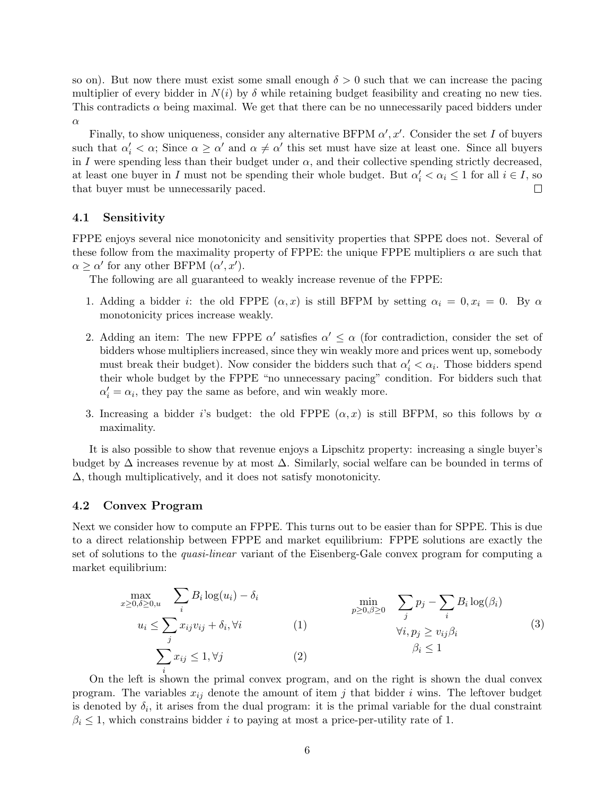so on). But now there must exist some small enough  $\delta > 0$  such that we can increase the pacing multiplier of every bidder in  $N(i)$  by  $\delta$  while retaining budget feasibility and creating no new ties. This contradicts  $\alpha$  being maximal. We get that there can be no unnecessarily paced bidders under α

Finally, to show uniqueness, consider any alternative BFPM  $\alpha', x'$ . Consider the set I of buyers such that  $\alpha'_i < \alpha$ ; Since  $\alpha \geq \alpha'$  and  $\alpha \neq \alpha'$  this set must have size at least one. Since all buyers in I were spending less than their budget under  $\alpha$ , and their collective spending strictly decreased, at least one buyer in I must not be spending their whole budget. But  $\alpha'_i < \alpha_i \leq 1$  for all  $i \in I$ , so that buyer must be unnecessarily paced.  $\Box$ 

#### 4.1 Sensitivity

FPPE enjoys several nice monotonicity and sensitivity properties that SPPE does not. Several of these follow from the maximality property of FPPE: the unique FPPE multipliers  $\alpha$  are such that  $\alpha \geq \alpha'$  for any other BFPM  $(\alpha', x')$ .

The following are all guaranteed to weakly increase revenue of the FPPE:

- 1. Adding a bidder *i*: the old FPPE  $(\alpha, x)$  is still BFPM by setting  $\alpha_i = 0, x_i = 0$ . By  $\alpha$ monotonicity prices increase weakly.
- 2. Adding an item: The new FPPE  $\alpha'$  satisfies  $\alpha' \leq \alpha$  (for contradiction, consider the set of bidders whose multipliers increased, since they win weakly more and prices went up, somebody must break their budget). Now consider the bidders such that  $\alpha'_i < \alpha_i$ . Those bidders spend their whole budget by the FPPE "no unnecessary pacing" condition. For bidders such that  $\alpha'_i = \alpha_i$ , they pay the same as before, and win weakly more.
- 3. Increasing a bidder i's budget: the old FPPE  $(\alpha, x)$  is still BFPM, so this follows by  $\alpha$ maximality.

It is also possible to show that revenue enjoys a Lipschitz property: increasing a single buyer's budget by  $\Delta$  increases revenue by at most  $\Delta$ . Similarly, social welfare can be bounded in terms of ∆, though multiplicatively, and it does not satisfy monotonicity.

### 4.2 Convex Program

Next we consider how to compute an FPPE. This turns out to be easier than for SPPE. This is due to a direct relationship between FPPE and market equilibrium: FPPE solutions are exactly the set of solutions to the quasi-linear variant of the Eisenberg-Gale convex program for computing a market equilibrium:

<span id="page-5-1"></span><span id="page-5-0"></span>
$$
\max_{x \ge 0, \delta \ge 0, u} \sum_{i} B_i \log(u_i) - \delta_i \qquad \min_{p \ge 0, \beta \ge 0} \sum_{j} p_j - \sum_{i} B_i \log(\beta_i)
$$
\n
$$
u_i \le \sum_{j} x_{ij} v_{ij} + \delta_i, \forall i \qquad (1) \qquad \forall i, p_j \ge v_{ij} \beta_i
$$
\n
$$
\sum_{i} x_{ij} \le 1, \forall j \qquad (2) \qquad \beta_i \le 1
$$
\n
$$
(3)
$$

On the left is shown the primal convex program, and on the right is shown the dual convex program. The variables  $x_{ij}$  denote the amount of item j that bidder i wins. The leftover budget is denoted by  $\delta_i$ , it arises from the dual program: it is the primal variable for the dual constraint  $\beta_i \leq 1$ , which constrains bidder i to paying at most a price-per-utility rate of 1.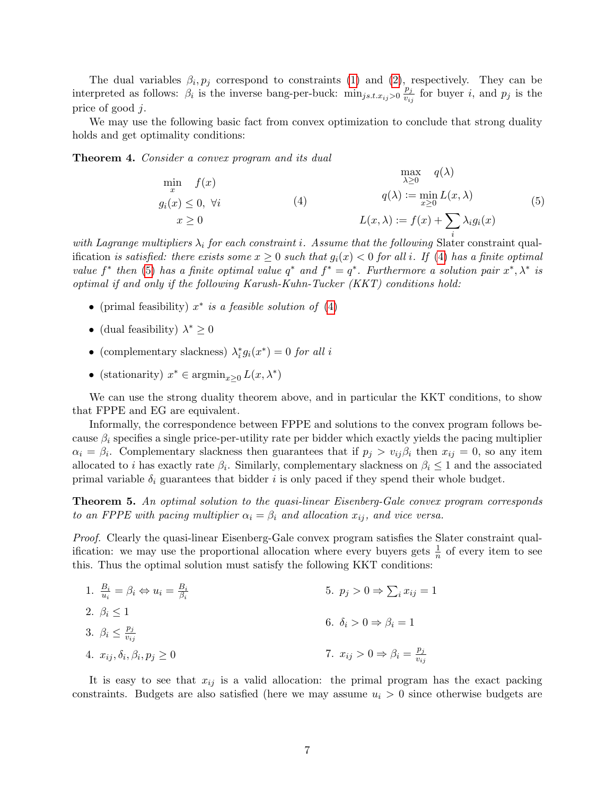The dual variables  $\beta_i, p_j$  correspond to constraints [\(1\)](#page-5-0) and [\(2\)](#page-5-1), respectively. They can be interpreted as follows:  $\beta_i$  is the inverse bang-per-buck:  $\min_{j s.t. x_{ij} > 0} \frac{p_j}{v_j}$  $\frac{p_j}{v_{ij}}$  for buyer *i*, and  $p_j$  is the price of good j.

We may use the following basic fact from convex optimization to conclude that strong duality holds and get optimality conditions:

<span id="page-6-9"></span><span id="page-6-0"></span>Theorem 4. Consider a convex program and its dual

<span id="page-6-1"></span>
$$
\min_{x} f(x)
$$
\n
$$
g_i(x) \le 0, \forall i
$$
\n
$$
x \ge 0
$$
\n
$$
(4)
$$
\n
$$
L(x, \lambda) := f(x) + \sum_{i} \lambda_i g_i(x)
$$
\n
$$
(5)
$$
\n
$$
(6)
$$
\n
$$
f(x, \lambda) := f(x) + \sum_{i} \lambda_i g_i(x)
$$

with Lagrange multipliers  $\lambda_i$  for each constraint i. Assume that the following Slater constraint qualification is satisfied: there exists some  $x \geq 0$  such that  $q_i(x) < 0$  for all i. If [\(4\)](#page-6-0) has a finite optimal value  $f^*$  then [\(5\)](#page-6-1) has a finite optimal value  $q^*$  and  $f^* = q^*$ . Furthermore a solution pair  $x^*, \lambda^*$  is optimal if and only if the following Karush-Kuhn-Tucker (KKT) conditions hold:

- (primal feasibility)  $x^*$  is a feasible solution of [\(4\)](#page-6-0)
- (dual feasibility)  $\lambda^* \geq 0$
- (complementary slackness)  $\lambda_i^* g_i(x^*) = 0$  for all i
- (stationarity)  $x^* \in \operatorname{argmin}_{x \geq 0} L(x, \lambda^*)$

We can use the strong duality theorem above, and in particular the KKT conditions, to show that FPPE and EG are equivalent.

Informally, the correspondence between FPPE and solutions to the convex program follows because  $\beta_i$  specifies a single price-per-utility rate per bidder which exactly yields the pacing multiplier  $\alpha_i = \beta_i$ . Complementary slackness then guarantees that if  $p_j > v_{ij}\beta_i$  then  $x_{ij} = 0$ , so any item allocated to *i* has exactly rate  $\beta_i$ . Similarly, complementary slackness on  $\beta_i \leq 1$  and the associated primal variable  $\delta_i$  guarantees that bidder i is only paced if they spend their whole budget.

Theorem 5. An optimal solution to the quasi-linear Eisenberg-Gale convex program corresponds to an FPPE with pacing multiplier  $\alpha_i = \beta_i$  and allocation  $x_{ij}$ , and vice versa.

Proof. Clearly the quasi-linear Eisenberg-Gale convex program satisfies the Slater constraint qualification: we may use the proportional allocation where every buyers gets  $\frac{1}{n}$  of every item to see this. Thus the optimal solution must satisfy the following KKT conditions:

<span id="page-6-8"></span><span id="page-6-6"></span><span id="page-6-5"></span><span id="page-6-4"></span><span id="page-6-3"></span><span id="page-6-2"></span>

| 1. $\frac{B_i}{u_i} = \beta_i \Leftrightarrow u_i = \frac{B_i}{\beta_i}$ | 5. $p_j > 0 \Rightarrow \sum_i x_{ij} = 1$               |
|--------------------------------------------------------------------------|----------------------------------------------------------|
| 2. $\beta_i \leq 1$                                                      | 6. $\delta_i > 0 \Rightarrow \beta_i = 1$                |
| 3. $\beta_i \leq \frac{p_j}{v_{ij}}$                                     | 7. $x_{ij} > 0 \Rightarrow \beta_i = \frac{p_j}{v_{ij}}$ |

<span id="page-6-7"></span>It is easy to see that  $x_{ij}$  is a valid allocation: the primal program has the exact packing constraints. Budgets are also satisfied (here we may assume  $u_i > 0$  since otherwise budgets are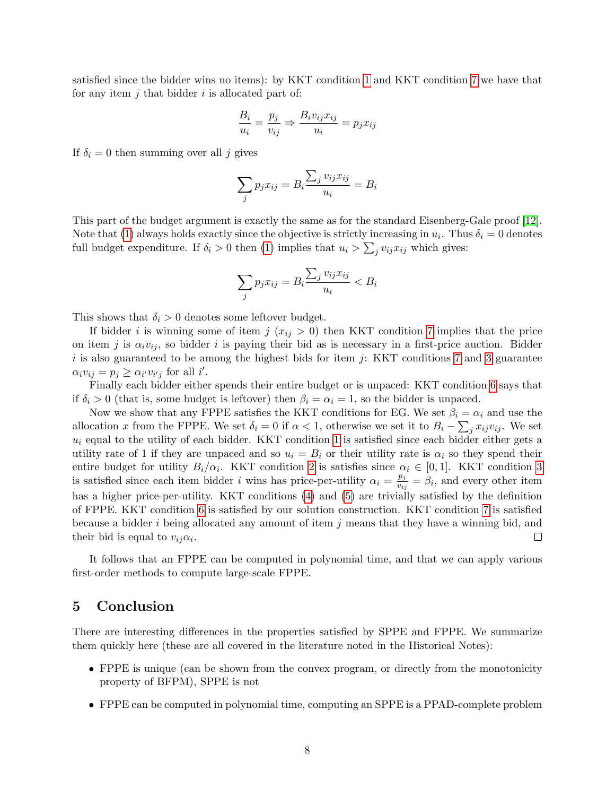satisfied since the bidder wins no items): by KKT condition [1](#page-6-2) and KKT condition [7](#page-6-3) we have that for any item  $j$  that bidder  $i$  is allocated part of:

$$
\frac{B_i}{u_i} = \frac{p_j}{v_{ij}} \Rightarrow \frac{B_i v_{ij} x_{ij}}{u_i} = p_j x_{ij}
$$

If  $\delta_i = 0$  then summing over all j gives

$$
\sum_{j} p_j x_{ij} = B_i \frac{\sum_j v_{ij} x_{ij}}{u_i} = B_i
$$

This part of the budget argument is exactly the same as for the standard Eisenberg-Gale proof [\[12\]](#page-9-0). Note that [\(1\)](#page-5-0) always holds exactly since the objective is strictly increasing in  $u_i$ . Thus  $\delta_i = 0$  denotes full budget expenditure. If  $\delta_i > 0$  then [\(1\)](#page-5-0) implies that  $u_i > \sum_j v_{ij} x_{ij}$  which gives:

$$
\sum_{j} p_j x_{ij} = B_i \frac{\sum_j v_{ij} x_{ij}}{u_i} < B_i
$$

This shows that  $\delta_i > 0$  denotes some leftover budget.

If bidder i is winning some of item j  $(x_{ij} > 0)$  then KKT condition [7](#page-6-3) implies that the price on item j is  $\alpha_i v_{ij}$ , so bidder i is paying their bid as is necessary in a first-price auction. Bidder  $i$  is also guaranteed to be among the highest bids for item  $j$ : KKT conditions [7](#page-6-3) and [3](#page-6-4) guarantee  $\alpha_i v_{ij} = p_j \geq \alpha_{i'} v_{i'j}$  for all i'.

Finally each bidder either spends their entire budget or is unpaced: KKT condition [6](#page-6-5) says that if  $\delta_i > 0$  (that is, some budget is leftover) then  $\beta_i = \alpha_i = 1$ , so the bidder is unpaced.

Now we show that any FPPE satisfies the KKT conditions for EG. We set  $\beta_i = \alpha_i$  and use the allocation x from the FPPE. We set  $\delta_i = 0$  if  $\alpha < 1$ , otherwise we set it to  $B_i - \sum_j x_{ij}v_{ij}$ . We set  $u_i$  equal to the utility of each bidder. KKT condition [1](#page-6-2) is satisfied since each bidder either gets a utility rate of 1 if they are unpaced and so  $u_i = B_i$  or their utility rate is  $\alpha_i$  so they spend their entire budget for utility  $B_i/\alpha_i$ . KKT condition [2](#page-6-6) is satisfies since  $\alpha_i \in [0,1]$ . KKT condition [3](#page-6-4) is satisfied since each item bidder i wins has price-per-utility  $\alpha_i = \frac{p_j}{n_i}$  $\frac{p_j}{v_{ij}} = \beta_i$ , and every other item has a higher price-per-utility. KKT conditions [\(4\)](#page-6-7) and [\(5\)](#page-6-8) are trivially satisfied by the definition of FPPE. KKT condition [6](#page-6-5) is satisfied by our solution construction. KKT condition [7](#page-6-3) is satisfied because a bidder i being allocated any amount of item j means that they have a winning bid, and their bid is equal to  $v_{ij}\alpha_i$ .  $\Box$ 

It follows that an FPPE can be computed in polynomial time, and that we can apply various first-order methods to compute large-scale FPPE.

### 5 Conclusion

There are interesting differences in the properties satisfied by SPPE and FPPE. We summarize them quickly here (these are all covered in the literature noted in the Historical Notes):

- FPPE is unique (can be shown from the convex program, or directly from the monotonicity property of BFPM), SPPE is not
- FPPE can be computed in polynomial time, computing an SPPE is a PPAD-complete problem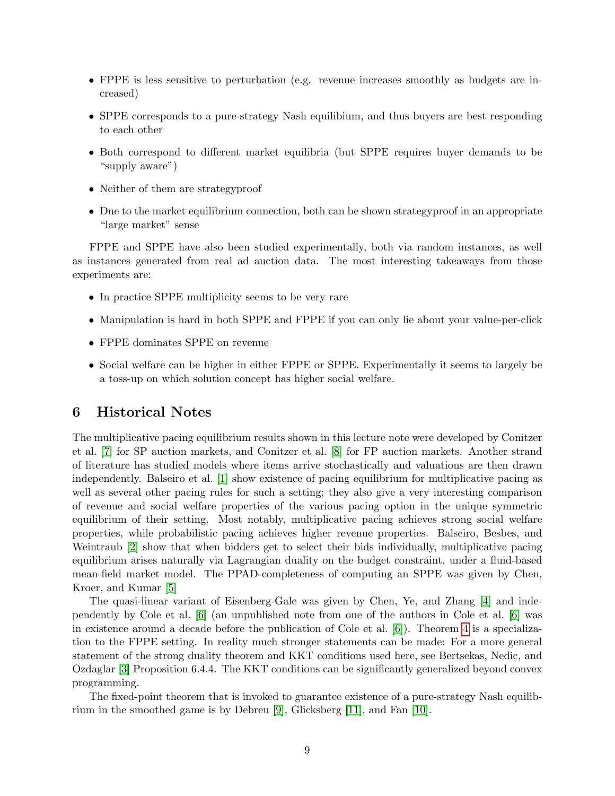- FPPE is less sensitive to perturbation (e.g. revenue increases smoothly as budgets are increased)
- SPPE corresponds to a pure-strategy Nash equilibium, and thus buyers are best responding to each other
- Both correspond to different market equilibria (but SPPE requires buyer demands to be "supply aware")
- Neither of them are strategyproof
- Due to the market equilibrium connection, both can be shown strategyproof in an appropriate "large market" sense

FPPE and SPPE have also been studied experimentally, both via random instances, as well as instances generated from real ad auction data. The most interesting takeaways from those experiments are:

- In practice SPPE multiplicity seems to be very rare
- Manipulation is hard in both SPPE and FPPE if you can only lie about your value-per-click
- FPPE dominates SPPE on revenue
- Social welfare can be higher in either FPPE or SPPE. Experimentally it seems to largely be a toss-up on which solution concept has higher social welfare.

### 6 Historical Notes

The multiplicative pacing equilibrium results shown in this lecture note were developed by Conitzer et al. [\[7\]](#page-9-1) for SP auction markets, and Conitzer et al. [\[8\]](#page-9-2) for FP auction markets. Another strand of literature has studied models where items arrive stochastically and valuations are then drawn independently. Balseiro et al. [\[1\]](#page-9-3) show existence of pacing equilibrium for multiplicative pacing as well as several other pacing rules for such a setting; they also give a very interesting comparison of revenue and social welfare properties of the various pacing option in the unique symmetric equilibrium of their setting. Most notably, multiplicative pacing achieves strong social welfare properties, while probabilistic pacing achieves higher revenue properties. Balseiro, Besbes, and Weintraub [\[2\]](#page-9-4) show that when bidders get to select their bids individually, multiplicative pacing equilibrium arises naturally via Lagrangian duality on the budget constraint, under a fluid-based mean-field market model. The PPAD-completeness of computing an SPPE was given by Chen, Kroer, and Kumar [\[5\]](#page-9-5)

The quasi-linear variant of Eisenberg-Gale was given by Chen, Ye, and Zhang [\[4\]](#page-9-6) and independently by Cole et al. [\[6\]](#page-9-7) (an unpublished note from one of the authors in Cole et al. [\[6\]](#page-9-7) was in existence around a decade before the publication of Cole et al. [\[6\]](#page-9-7)). Theorem [4](#page-6-9) is a specialization to the FPPE setting. In reality much stronger statements can be made: For a more general statement of the strong duality theorem and KKT conditions used here, see Bertsekas, Nedic, and Ozdaglar [\[3\]](#page-9-8) Proposition 6.4.4. The KKT conditions can be significantly generalized beyond convex programming.

The fixed-point theorem that is invoked to guarantee existence of a pure-strategy Nash equilibrium in the smoothed game is by Debreu [\[9\]](#page-9-9), Glicksberg [\[11\]](#page-9-10), and Fan [\[10\]](#page-9-11).